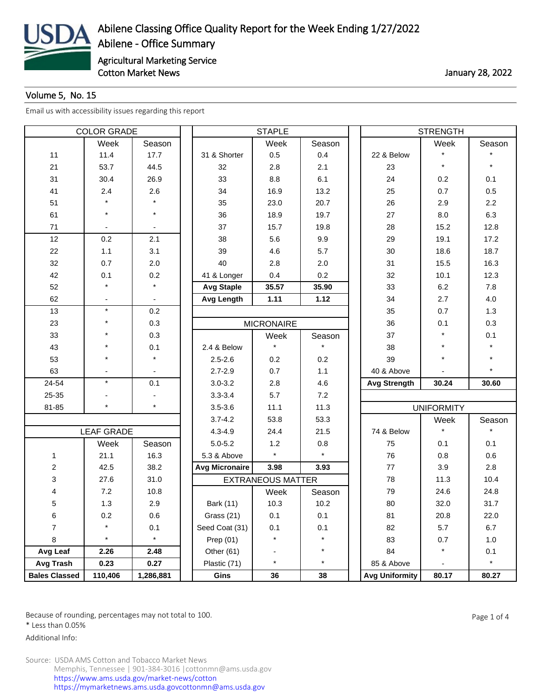

## Volume 5, No. 15

[Email us with accessibility issues regarding this report](mailto:mars@ams.usda.gov)

| <b>COLOR GRADE</b>   |                   |           |                       | <b>STAPLE</b>            |         | <b>STRENGTH</b>       |                   |         |  |
|----------------------|-------------------|-----------|-----------------------|--------------------------|---------|-----------------------|-------------------|---------|--|
|                      | Week              | Season    |                       | Week                     | Season  |                       | Week              | Season  |  |
| 11                   | 11.4              | 17.7      | 31 & Shorter          | 0.5                      | 0.4     | 22 & Below            | $\star$           |         |  |
| 21                   | 53.7              | 44.5      | 32                    | 2.8                      | 2.1     | 23                    | $\star$           |         |  |
| 31                   | 30.4              | 26.9      | 33                    | 8.8                      | 6.1     | 24                    | 0.2               | 0.1     |  |
| 41                   | 2.4               | 2.6       | 34                    | 16.9                     | 13.2    | 25                    | 0.7               | 0.5     |  |
| 51                   |                   |           | 35                    | 23.0                     | 20.7    | 26                    | 2.9               | 2.2     |  |
| 61                   | $\star$           | $\star$   | 36                    | 18.9                     | 19.7    | 27                    | 8.0               | 6.3     |  |
| 71                   |                   |           | 37                    | 15.7                     | 19.8    | 28                    | 15.2              | 12.8    |  |
| 12                   | 0.2               | 2.1       | 38                    | 5.6                      | 9.9     | 29                    | 19.1              | 17.2    |  |
| 22                   | 1.1               | 3.1       | 39                    | 4.6                      | 5.7     | 30                    | 18.6              | 18.7    |  |
| 32                   | 0.7               | 2.0       | 40                    | 2.8                      | 2.0     | 31                    | 15.5              | 16.3    |  |
| 42                   | 0.1               | 0.2       | 41 & Longer           | 0.4                      | 0.2     | 32                    | 10.1              | 12.3    |  |
| 52                   |                   |           | <b>Avg Staple</b>     | 35.57                    | 35.90   | 33                    | 6.2               | 7.8     |  |
| 62                   |                   |           | <b>Avg Length</b>     | 1.11                     | 1.12    | 34                    | 2.7               | 4.0     |  |
| 13                   | $\star$           | 0.2       |                       |                          |         | 35                    | 0.7               | 1.3     |  |
| 23                   | $\star$           | 0.3       |                       | <b>MICRONAIRE</b>        |         | 36                    | 0.1               | 0.3     |  |
| 33                   | $\star$           | 0.3       |                       | Week                     | Season  | 37                    | $\star$           | 0.1     |  |
| 43                   |                   | 0.1       | 2.4 & Below           |                          |         | 38                    | $\star$           |         |  |
| 53                   | $\star$           | $\star$   | $2.5 - 2.6$           | 0.2                      | 0.2     | 39                    | $\star$           |         |  |
| 63                   |                   |           | $2.7 - 2.9$           | 0.7                      | 1.1     | 40 & Above            |                   |         |  |
| 24-54                | $\star$           | 0.1       | $3.0 - 3.2$           | 2.8                      | 4.6     | <b>Avg Strength</b>   | 30.24             | 30.60   |  |
| 25-35                |                   |           | $3.3 - 3.4$           | 5.7                      | 7.2     |                       |                   |         |  |
| 81-85                | $\star$           | $\star$   | $3.5 - 3.6$           | 11.1                     | 11.3    |                       | <b>UNIFORMITY</b> |         |  |
|                      |                   |           | $3.7 - 4.2$           | 53.8                     | 53.3    |                       | Week              | Season  |  |
|                      | <b>LEAF GRADE</b> |           | $4.3 - 4.9$           | 24.4                     | 21.5    | 74 & Below            | $\star$           |         |  |
|                      | Week              | Season    | $5.0 - 5.2$           | 1.2                      | 0.8     | 75                    | 0.1               | 0.1     |  |
| 1                    | 21.1              | 16.3      | 5.3 & Above           | $\star$                  | $\star$ | 76                    | 0.8               | 0.6     |  |
| $\overline{c}$       | 42.5              | 38.2      | <b>Avg Micronaire</b> | 3.98                     | 3.93    | 77                    | 3.9               | 2.8     |  |
| 3                    | 27.6              | 31.0      |                       | <b>EXTRANEOUS MATTER</b> |         | 78                    | 11.3              | 10.4    |  |
| 4                    | 7.2               | 10.8      |                       | Week                     | Season  | 79                    | 24.6              | 24.8    |  |
| 5                    | 1.3               | 2.9       | Bark (11)             | 10.3                     | 10.2    | 80                    | 32.0              | 31.7    |  |
| 6                    | $0.2\,$           | 0.6       | Grass (21)            | 0.1                      | 0.1     | 81                    | 20.8              | 22.0    |  |
| $\overline{7}$       | $\star$           | 0.1       | Seed Coat (31)        | 0.1                      | 0.1     | 82                    | 5.7               | 6.7     |  |
| 8                    | $\star$           | $\star$   | Prep $(01)$           | $\star$                  | $\star$ | 83                    | 0.7               | 1.0     |  |
| Avg Leaf             | 2.26              | 2.48      | Other (61)            | $\overline{\phantom{a}}$ | $\star$ | 84                    | $^{\star}$        | 0.1     |  |
| Avg Trash            | 0.23              | 0.27      | Plastic (71)          | $\star$                  | $\star$ | 85 & Above            |                   | $\star$ |  |
| <b>Bales Classed</b> | 110,406           | 1,286,881 | Gins                  | 36                       | 38      | <b>Avg Uniformity</b> | 80.17             | 80.27   |  |

Because of rounding, percentages may not total to 100. And the set of the set of 4 and the Page 1 of 4

\* Less than 0.05%

Additional Info: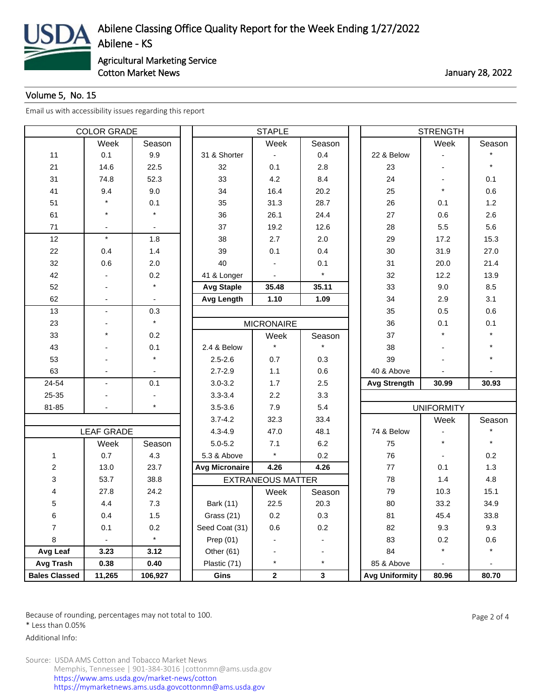

## Volume 5, No. 15

[Email us with accessibility issues regarding this report](mailto:mars@ams.usda.gov)

| <b>COLOR GRADE</b>   |                   |         | <b>STAPLE</b>         |                          |         |  | <b>STRENGTH</b>       |                          |         |  |
|----------------------|-------------------|---------|-----------------------|--------------------------|---------|--|-----------------------|--------------------------|---------|--|
|                      | Week              | Season  |                       | Week                     | Season  |  |                       | Week                     | Season  |  |
| 11                   | 0.1               | 9.9     | 31 & Shorter          |                          | 0.4     |  | 22 & Below            |                          |         |  |
| 21                   | 14.6              | 22.5    | 32                    | 0.1                      | 2.8     |  | 23                    |                          | $\star$ |  |
| 31                   | 74.8              | 52.3    | 33                    | 4.2                      | 8.4     |  | 24                    |                          | 0.1     |  |
| 41                   | 9.4               | 9.0     | 34                    | 16.4                     | 20.2    |  | 25                    | $\star$                  | 0.6     |  |
| 51                   |                   | 0.1     | 35                    | 31.3                     | 28.7    |  | 26                    | 0.1                      | 1.2     |  |
| 61                   | $\star$           | $\star$ | 36                    | 26.1                     | 24.4    |  | 27                    | 0.6                      | 2.6     |  |
| 71                   | $\blacksquare$    |         | 37                    | 19.2                     | 12.6    |  | 28                    | 5.5                      | 5.6     |  |
| 12                   | $\star$           | 1.8     | 38                    | 2.7                      | 2.0     |  | 29                    | 17.2                     | 15.3    |  |
| 22                   | 0.4               | 1.4     | 39                    | 0.1                      | 0.4     |  | 30                    | 31.9                     | 27.0    |  |
| 32                   | 0.6               | 2.0     | 40                    |                          | 0.1     |  | 31                    | 20.0                     | 21.4    |  |
| 42                   |                   | 0.2     | 41 & Longer           |                          | $\star$ |  | 32                    | 12.2                     | 13.9    |  |
| 52                   |                   |         | <b>Avg Staple</b>     | 35.48                    | 35.11   |  | 33                    | 9.0                      | 8.5     |  |
| 62                   |                   |         | <b>Avg Length</b>     | 1.10                     | 1.09    |  | 34                    | 2.9                      | 3.1     |  |
| 13                   | $\blacksquare$    | 0.3     |                       |                          |         |  | 35                    | 0.5                      | 0.6     |  |
| 23                   |                   | $\star$ |                       | <b>MICRONAIRE</b>        |         |  | 36                    | 0.1                      | 0.1     |  |
| 33                   | $\star$           | 0.2     |                       | Week                     | Season  |  | 37                    | $\star$                  |         |  |
| 43                   |                   | 0.1     | 2.4 & Below           |                          |         |  | 38                    |                          |         |  |
| 53                   |                   | $\star$ | $2.5 - 2.6$           | 0.7                      | 0.3     |  | 39                    |                          |         |  |
| 63                   |                   |         | $2.7 - 2.9$           | 1.1                      | 0.6     |  | 40 & Above            |                          |         |  |
| 24-54                | $\blacksquare$    | 0.1     | $3.0 - 3.2$           | 1.7                      | 2.5     |  | <b>Avg Strength</b>   | 30.99                    | 30.93   |  |
| 25-35                |                   |         | $3.3 - 3.4$           | 2.2                      | 3.3     |  |                       |                          |         |  |
| 81-85                |                   | $\star$ | $3.5 - 3.6$           | 7.9                      | 5.4     |  |                       | <b>UNIFORMITY</b>        |         |  |
|                      |                   |         | $3.7 - 4.2$           | 32.3                     | 33.4    |  |                       | Week                     | Season  |  |
|                      | <b>LEAF GRADE</b> |         | $4.3 - 4.9$           | 47.0                     | 48.1    |  | 74 & Below            |                          |         |  |
|                      | Week              | Season  | $5.0 - 5.2$           | 7.1                      | 6.2     |  | 75                    | $\star$                  |         |  |
| 1                    | 0.7               | 4.3     | 5.3 & Above           | $\star$                  | 0.2     |  | 76                    |                          | 0.2     |  |
| $\overline{c}$       | 13.0              | 23.7    | <b>Avg Micronaire</b> | 4.26                     | 4.26    |  | 77                    | 0.1                      | 1.3     |  |
| 3                    | 53.7              | 38.8    |                       | <b>EXTRANEOUS MATTER</b> |         |  | 78                    | 1.4                      | 4.8     |  |
| 4                    | 27.8              | 24.2    |                       | Week                     | Season  |  | 79                    | 10.3                     | 15.1    |  |
| 5                    | 4.4               | 7.3     | Bark (11)             | 22.5                     | 20.3    |  | 80                    | 33.2                     | 34.9    |  |
| 6                    | 0.4               | 1.5     | Grass (21)            | 0.2                      | 0.3     |  | 81                    | 45.4                     | 33.8    |  |
| $\overline{7}$       | 0.1               | 0.2     | Seed Coat (31)        | 0.6                      | 0.2     |  | 82                    | 9.3                      | 9.3     |  |
| 8                    | ۰                 | $\star$ | Prep $(01)$           |                          |         |  | 83                    | 0.2                      | 0.6     |  |
| Avg Leaf             | 3.23              | 3.12    | Other (61)            |                          |         |  | 84                    | $\star$                  | $\star$ |  |
| Avg Trash            | 0.38              | 0.40    | Plastic (71)          | $\star$                  | $\star$ |  | 85 & Above            | $\overline{\phantom{a}}$ |         |  |
| <b>Bales Classed</b> | 11,265            | 106,927 | Gins                  | $\mathbf{2}$             | 3       |  | <b>Avg Uniformity</b> | 80.96                    | 80.70   |  |

Because of rounding, percentages may not total to 100. And the set of the set of 4 and 2 of 4

\* Less than 0.05%

Additional Info: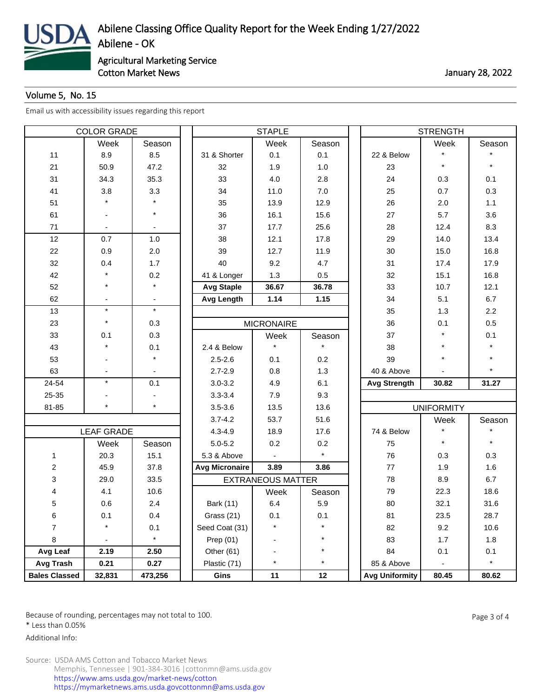

## Volume 5, No. 15

[Email us with accessibility issues regarding this report](mailto:mars@ams.usda.gov)

| <b>COLOR GRADE</b>   |                   |         |                       | <b>STAPLE</b>            |         | <b>STRENGTH</b>       |                   |         |  |
|----------------------|-------------------|---------|-----------------------|--------------------------|---------|-----------------------|-------------------|---------|--|
|                      | Week              | Season  |                       | Week                     | Season  |                       | Week              | Season  |  |
| 11                   | 8.9               | 8.5     | 31 & Shorter          | 0.1                      | 0.1     | 22 & Below            | $\star$           |         |  |
| 21                   | 50.9              | 47.2    | 32                    | 1.9                      | 1.0     | 23                    | $\star$           |         |  |
| 31                   | 34.3              | 35.3    | 33                    | 4.0                      | 2.8     | 24                    | 0.3               | 0.1     |  |
| 41                   | 3.8               | 3.3     | 34                    | 11.0                     | 7.0     | 25                    | 0.7               | 0.3     |  |
| 51                   |                   |         | 35                    | 13.9                     | 12.9    | 26                    | 2.0               | 1.1     |  |
| 61                   |                   | $\star$ | 36                    | 16.1                     | 15.6    | 27                    | 5.7               | 3.6     |  |
| 71                   |                   |         | 37                    | 17.7                     | 25.6    | 28                    | 12.4              | 8.3     |  |
| 12                   | 0.7               | $1.0$   | 38                    | 12.1                     | 17.8    | 29                    | 14.0              | 13.4    |  |
| 22                   | 0.9               | 2.0     | 39                    | 12.7                     | 11.9    | 30                    | 15.0              | 16.8    |  |
| 32                   | 0.4               | 1.7     | 40                    | 9.2                      | 4.7     | 31                    | 17.4              | 17.9    |  |
| 42                   |                   | 0.2     | 41 & Longer           | 1.3                      | 0.5     | 32                    | 15.1              | 16.8    |  |
| 52                   | $\star$           |         | <b>Avg Staple</b>     | 36.67                    | 36.78   | 33                    | 10.7              | 12.1    |  |
| 62                   |                   |         | <b>Avg Length</b>     | 1.14                     | 1.15    | 34                    | 5.1               | 6.7     |  |
| 13                   | $\star$           | $\star$ |                       |                          |         | 35                    | 1.3               | 2.2     |  |
| 23                   | $\star$           | 0.3     |                       | <b>MICRONAIRE</b>        |         | 36                    | 0.1               | 0.5     |  |
| 33                   | 0.1               | 0.3     |                       | Week                     | Season  | 37                    | $\star$           | 0.1     |  |
| 43                   |                   | 0.1     | 2.4 & Below           |                          |         | 38                    | $\star$           |         |  |
| 53                   |                   | $\star$ | $2.5 - 2.6$           | 0.1                      | 0.2     | 39                    | $\star$           |         |  |
| 63                   |                   |         | $2.7 - 2.9$           | 0.8                      | 1.3     | 40 & Above            |                   |         |  |
| 24-54                | $\star$           | 0.1     | $3.0 - 3.2$           | 4.9                      | 6.1     | <b>Avg Strength</b>   | 30.82             | 31.27   |  |
| 25-35                |                   |         | $3.3 - 3.4$           | 7.9                      | 9.3     |                       |                   |         |  |
| 81-85                | $\star$           | $\star$ | $3.5 - 3.6$           | 13.5                     | 13.6    |                       | <b>UNIFORMITY</b> |         |  |
|                      |                   |         | $3.7 - 4.2$           | 53.7                     | 51.6    |                       | Week              | Season  |  |
|                      | <b>LEAF GRADE</b> |         | $4.3 - 4.9$           | 18.9                     | 17.6    | 74 & Below            |                   |         |  |
|                      | Week              | Season  | $5.0 - 5.2$           | 0.2                      | 0.2     | 75                    | $\star$           |         |  |
| 1                    | 20.3              | 15.1    | 5.3 & Above           |                          | $\star$ | 76                    | 0.3               | 0.3     |  |
| $\overline{c}$       | 45.9              | 37.8    | <b>Avg Micronaire</b> | 3.89                     | 3.86    | 77                    | 1.9               | 1.6     |  |
| 3                    | 29.0              | 33.5    |                       | <b>EXTRANEOUS MATTER</b> |         | 78                    | 8.9               | 6.7     |  |
| 4                    | 4.1               | 10.6    |                       | Week                     | Season  | 79                    | 22.3              | 18.6    |  |
| 5                    | 0.6               | 2.4     | <b>Bark (11)</b>      | 6.4                      | 5.9     | 80                    | 32.1              | 31.6    |  |
| 6                    | 0.1               | 0.4     | Grass (21)            | 0.1                      | 0.1     | 81                    | 23.5              | 28.7    |  |
| $\overline{7}$       | $\star$           | 0.1     | Seed Coat (31)        |                          |         | 82                    | 9.2               | 10.6    |  |
| 8                    |                   | $\star$ | Prep $(01)$           |                          | $\star$ | 83                    | 1.7               | 1.8     |  |
| Avg Leaf             | 2.19              | 2.50    | Other (61)            |                          |         | 84                    | 0.1               | 0.1     |  |
| Avg Trash            | 0.21              | 0.27    | Plastic (71)          | $\star$                  | $\star$ | 85 & Above            |                   | $\star$ |  |
| <b>Bales Classed</b> | 32,831            | 473,256 | Gins                  | 11                       | 12      | <b>Avg Uniformity</b> | 80.45             | 80.62   |  |

Because of rounding, percentages may not total to 100. And the set of the set of the Page 3 of 4

\* Less than 0.05%

Additional Info: